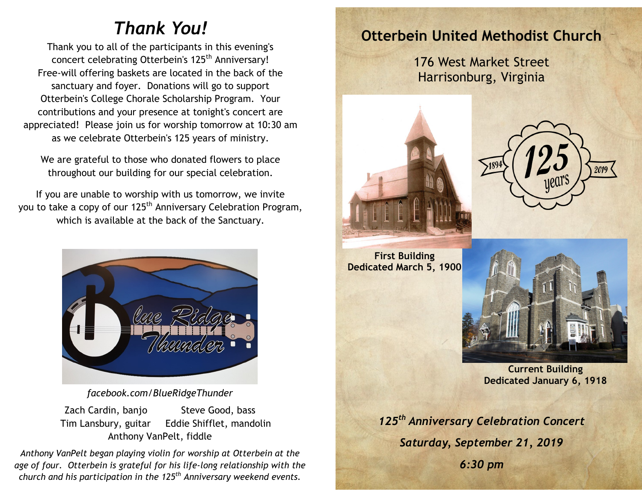## *Thank You!*

Thank you to all of the participants in this evening's concert celebrating Otterbein's 125<sup>th</sup> Anniversary! Free-will offering baskets are located in the back of the sanctuary and foyer. Donations will go to support Otterbein's College Chorale Scholarship Program. Your contributions and your presence at tonight's concert are appreciated! Please join us for worship tomorrow at 10:30 am as we celebrate Otterbein's 125 years of ministry.

We are grateful to those who donated flowers to place throughout our building for our special celebration.

If you are unable to worship with us tomorrow, we invite you to take a copy of our 125<sup>th</sup> Anniversary Celebration Program, which is available at the back of the Sanctuary.



*facebook.com/BlueRidgeThunder*

Zach Cardin, banjo Steve Good, bass Tim Lansbury, guitar Eddie Shifflet, mandolin Anthony VanPelt, fiddle

*Anthony VanPelt began playing violin for worship at Otterbein at the age of four. Otterbein is grateful for his life-long relationship with the church and his participation in the 125th Anniversary weekend events.*

### **Otterbein United Methodist Church**

176 West Market Street Harrisonburg, Virginia



**First Building Dedicated March 5, 1900**





**Current Building Dedicated January 6, 1918**

*125th Anniversary Celebration Concert Saturday, September 21, 2019 6:30 pm*